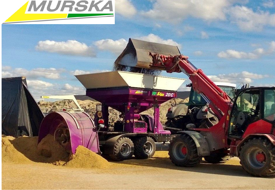

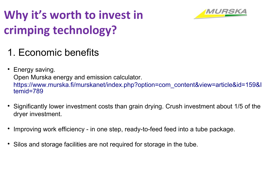# **Why it's worth to invest in crimping technology?**



## 1. Economic benefits

• Energy saving. [Open Murska energy and emission calculator.](https://www.murska.fi/murskanet/index.php?option=com_content&view=article&id=159&Itemid=789) [https://www.murska.fi/murskanet/index.php?option=com\\_content&view=article&id=159&I](https://www.murska.fi/murskanet/index.php?option=com_content&view=article&id=159&Itemid=789) [temid=789](https://www.murska.fi/murskanet/index.php?option=com_content&view=article&id=159&Itemid=789)

- Significantly lower investment costs than grain drying. Crush investment about 1/5 of the dryer investment.
- Improving work efficiency - in one step, ready-to-feed feed into a tube package.
- Silos and storage facilities are not required for storage in the tube.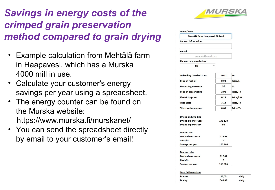### *Savings in energy costs of the crimped grain preservation method compared to grain drying*

- Example calculation from Mehtälä farm in Haapavesi, which has a Murska 4000 mill in use.
- Calculate your customer's energy savings per year using a spreadsheet.
- The energy counter can be found on the Murska website: https://www.murska.fi/murskanet/
- You can send the spreadsheet directly by email to your customer's email!



| Name/Farm                        |         |          |
|----------------------------------|---------|----------|
| Mehtälä farm, haapavesi, Finland |         |          |
| <b>Contact information</b>       |         |          |
| E-mail                           |         |          |
| example@email.com                |         |          |
| <b>Choose Language below</b>     |         |          |
| <b>EN</b>                        |         |          |
| To feeding threshed tons         | 4000    | Tn       |
| Price of fuel oil                | 0,98    | Price/L  |
| <b>Harvesting moisture</b>       | 32      | %        |
| <b>Price of preservative</b>     | 3,00    | Price/Tn |
| <b>Electricity price</b>         | 0,15    | Price/kW |
| <b>Tube price</b>                | 3,12    | Price/Tn |
| Silo covering approx.            | 0,60    | Price/Tn |
| <b>Drying and grinding</b>       |         |          |
| Drying expense/year              | 198 128 |          |
| Drying expense/ton               | 50      |          |
| Murska silo                      |         |          |
| <b>Method costs total</b>        | 22 662  |          |
| Costs/tn                         | 6       |          |
| Savings per year                 | 175 466 |          |

| Murska tube               |         |  |
|---------------------------|---------|--|
| <b>Method costs total</b> | 32742   |  |
| Costs/tn                  | R       |  |
| Savings per year          | 165 386 |  |

#### **Total CO2emissions**

| .             |        |                  |  |
|---------------|--------|------------------|--|
| Murska        | 26,05  | tCO <sub>2</sub> |  |
| <b>Drying</b> | 548,08 | tCO <sub>2</sub> |  |
|               |        |                  |  |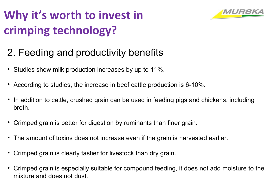# **Why it's worth to invest in crimping technology?**



### 2. Feeding and productivity benefits

- Studies show milk production increases by up to 11%.
- According to studies, the increase in beef cattle production is 6-10%.
- In addition to cattle, crushed grain can be used in feeding pigs and chickens, including broth.
- Crimped grain is better for digestion by ruminants than finer grain.
- The amount of toxins does not increase even if the grain is harvested earlier.
- Crimped grain is clearly tastier for livestock than dry grain.
- Crimped grain is especially suitable for compound feeding, it does not add moisture to the mixture and does not dust.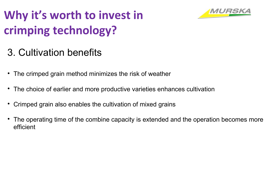# **Why it's worth to invest in crimping technology?**



### 3. Cultivation benefits

- The crimped grain method minimizes the risk of weather
- The choice of earlier and more productive varieties enhances cultivation
- Crimped grain also enables the cultivation of mixed grains
- The operating time of the combine capacity is extended and the operation becomes more efficient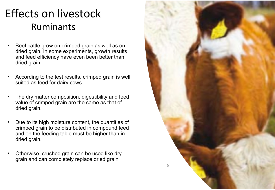# Effects on livestock Ruminants

- Beef cattle grow on crimped grain as well as on dried grain. In some experiments, growth results and feed efficiency have even been better than dried grain.
- According to the test results, crimped grain is well suited as feed for dairy cows.
- The dry matter composition, digestibility and feed value of crimped grain are the same as that of dried grain.
- Due to its high moisture content, the quantities of crimped grain to be distributed in compound feed and on the feeding table must be higher than in dried grain.
- Otherwise, crushed grain can be used like dry grain and can completely replace dried grain

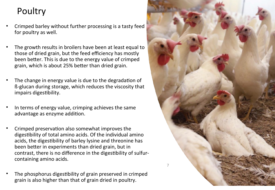#### Poultry

- Crimped barley without further processing is a tasty feed for poultry as well.
- The growth results in broilers have been at least equal to those of dried grain, but the feed efficiency has mostly been better. This is due to the energy value of crimped grain, which is about 25% better than dried grain.
- The change in energy value is due to the degradation of ß-glucan during storage, which reduces the viscosity that impairs digestibility.
- In terms of energy value, crimping achieves the same advantage as enzyme addition.
- Crimped preservation also somewhat improves the digestibility of total amino acids. Of the individual amino acids, the digestibility of barley lysine and threonine has been better in experiments than dried grain, but in contrast, there is no difference in the digestibility of sulfurcontaining amino acids.
- The phosphorus digestibility of grain preserved in crimped grain is also higher than that of grain dried in poultry.

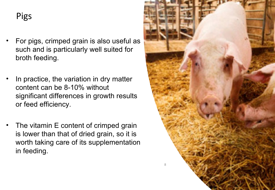#### Pigs

- For pigs, crimped grain is also useful as such and is particularly well suited for broth feeding.
- In practice, the variation in dry matter content can be 8-10% without significant differences in growth results or feed efficiency.
- The vitamin E content of crimped grain is lower than that of dried grain, so it is worth taking care of its supplementation in feeding.

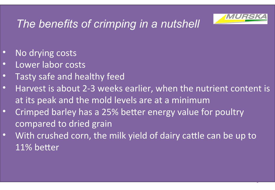

9

# *The benefits of crimping in a nutshell*

- No drying costs
- Lower labor costs
- Tasty safe and healthy feed
- Harvest is about 2-3 weeks earlier, when the nutrient content is at its peak and the mold levels are at a minimum
- Crimped barley has a 25% better energy value for poultry compared to dried grain
- With crushed corn, the milk yield of dairy cattle can be up to 11% better